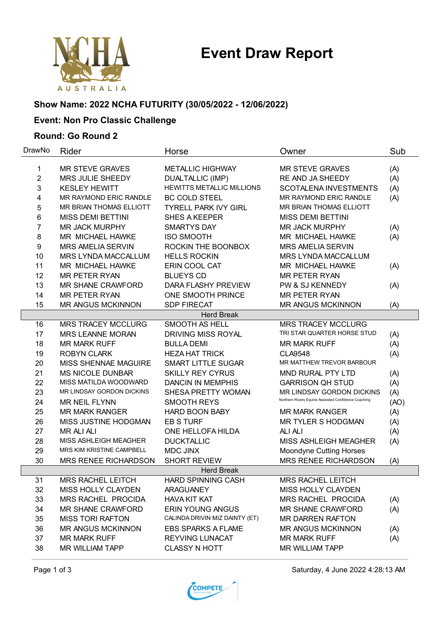# **Event Draw Report**



## **Show Name: 2022 NCHA FUTURITY (30/05/2022 - 12/06/2022)**

## **Event: Non Pro Classic Challenge**

#### **Round: Go Round 2**

| DrawNo            | Rider                       | Horse                            | Owner                                                | Sub  |  |  |  |
|-------------------|-----------------------------|----------------------------------|------------------------------------------------------|------|--|--|--|
| 1                 | <b>MR STEVE GRAVES</b>      | <b>METALLIC HIGHWAY</b>          | <b>MR STEVE GRAVES</b>                               | (A)  |  |  |  |
| $\overline{2}$    | <b>MRS JULIE SHEEDY</b>     | <b>DUALTALLIC (IMP)</b>          | RE AND JA SHEEDY                                     | (A)  |  |  |  |
| 3                 | <b>KESLEY HEWITT</b>        | <b>HEWITTS METALLIC MILLIONS</b> | SCOTALENA INVESTMENTS                                | (A)  |  |  |  |
| 4                 | MR RAYMOND ERIC RANDLE      | <b>BC COLD STEEL</b>             | MR RAYMOND ERIC RANDLE                               | (A)  |  |  |  |
| 5                 | MR BRIAN THOMAS ELLIOTT     | <b>TYRELL PARK IVY GIRL</b>      | MR BRIAN THOMAS ELLIOTT                              |      |  |  |  |
| 6                 | <b>MISS DEMI BETTINI</b>    | <b>SHES A KEEPER</b>             | <b>MISS DEMI BETTINI</b>                             |      |  |  |  |
| 7                 | <b>MR JACK MURPHY</b>       | <b>SMARTYS DAY</b>               | <b>MR JACK MURPHY</b>                                | (A)  |  |  |  |
| 8                 | MR MICHAEL HAWKE            | <b>ISO SMOOTH</b>                | MR MICHAEL HAWKE                                     | (A)  |  |  |  |
| 9                 | <b>MRS AMELIA SERVIN</b>    | ROCKIN THE BOONBOX               | <b>MRS AMELIA SERVIN</b>                             |      |  |  |  |
| 10                | MRS LYNDA MACCALLUM         | <b>HELLS ROCKIN</b>              | <b>MRS LYNDA MACCALLUM</b>                           |      |  |  |  |
| 11                | MR MICHAEL HAWKE            | ERIN COOL CAT                    | MR MICHAEL HAWKE                                     | (A)  |  |  |  |
| 12                | <b>MR PETER RYAN</b>        | <b>BLUEYS CD</b>                 | <b>MR PETER RYAN</b>                                 |      |  |  |  |
| 13                | MR SHANE CRAWFORD           | DARA FLASHY PREVIEW              | PW & SJ KENNEDY                                      | (A)  |  |  |  |
| 14                | <b>MR PETER RYAN</b>        | ONE SMOOTH PRINCE                | <b>MR PETER RYAN</b>                                 |      |  |  |  |
| 15                | <b>MR ANGUS MCKINNON</b>    | <b>SDP FIRECAT</b>               | <b>MR ANGUS MCKINNON</b>                             | (A)  |  |  |  |
|                   |                             | <b>Herd Break</b>                |                                                      |      |  |  |  |
| 16                | <b>MRS TRACEY MCCLURG</b>   | SMOOTH AS HELL                   | <b>MRS TRACEY MCCLURG</b>                            |      |  |  |  |
| 17                | <b>MRS LEANNE MORAN</b>     | <b>DRIVING MISS ROYAL</b>        | TRI STAR QUARTER HORSE STUD                          | (A)  |  |  |  |
| 18                | <b>MR MARK RUFF</b>         | <b>BULLA DEMI</b>                | <b>MR MARK RUFF</b>                                  | (A)  |  |  |  |
| 19                | <b>ROBYN CLARK</b>          | <b>HEZA HAT TRICK</b>            | <b>CLA9548</b>                                       | (A)  |  |  |  |
| 20                | MISS SHENNAE MAGUIRE        | <b>SMART LITTLE SUGAR</b>        | MR MATTHEW TREVOR BARBOUR                            |      |  |  |  |
| 21                | <b>MS NICOLE DUNBAR</b>     | <b>SKILLY REY CYRUS</b>          | <b>MND RURAL PTY LTD</b>                             | (A)  |  |  |  |
| 22                | MISS MATILDA WOODWARD       | <b>DANCIN IN MEMPHIS</b>         | <b>GARRISON QH STUD</b>                              | (A)  |  |  |  |
| 23                | MR LINDSAY GORDON DICKINS   | SHESA PRETTY WOMAN               | MR LINDSAY GORDON DICKINS                            | (A)  |  |  |  |
| 24                | <b>MR NEIL FLYNN</b>        | <b>SMOOTH REYS</b>               | Northern Rivers Equine Assissted Confidence Coaching | (AO) |  |  |  |
| 25                | <b>MR MARK RANGER</b>       | <b>HARD BOON BABY</b>            | <b>MR MARK RANGER</b>                                | (A)  |  |  |  |
| 26                | MISS JUSTINE HODGMAN        | <b>EB S TURF</b>                 | <b>MR TYLER S HODGMAN</b>                            | (A)  |  |  |  |
| 27                | <b>MR ALI ALI</b>           | ONE HELLOFA HILDA                | ALI ALI                                              | (A)  |  |  |  |
| 28                | MISS ASHLEIGH MEAGHER       | <b>DUCKTALLIC</b>                | MISS ASHLEIGH MEAGHER                                | (A)  |  |  |  |
| 29                | MRS KIM KRISTINE CAMPBELL   | <b>MDC JINX</b>                  | <b>Moondyne Cutting Horses</b>                       |      |  |  |  |
| 30                | <b>MRS RENEE RICHARDSON</b> | <b>SHORT REVIEW</b>              | MRS RENEE RICHARDSON                                 | (A)  |  |  |  |
| <b>Herd Break</b> |                             |                                  |                                                      |      |  |  |  |
| 31                | <b>MRS RACHEL LEITCH</b>    | <b>HARD SPINNING CASH</b>        | <b>MRS RACHEL LEITCH</b>                             |      |  |  |  |
| 32                | MISS HOLLY CLAYDEN          | <b>ARAGUANEY</b>                 | <b>MISS HOLLY CLAYDEN</b>                            |      |  |  |  |
| 33                | MRS RACHEL PROCIDA          | <b>HAVA KIT KAT</b>              | MRS RACHEL PROCIDA                                   | (A)  |  |  |  |
| 34                | <b>MR SHANE CRAWFORD</b>    | <b>ERIN YOUNG ANGUS</b>          | <b>MR SHANE CRAWFORD</b>                             | (A)  |  |  |  |
| 35                | <b>MISS TORI RAFTON</b>     | CALINDA DRIVIN MIZ DAINTY (ET)   | <b>MR DARREN RAFTON</b>                              |      |  |  |  |
| 36                | <b>MR ANGUS MCKINNON</b>    | <b>EBS SPARKS A FLAME</b>        | <b>MR ANGUS MCKINNON</b>                             | (A)  |  |  |  |
| 37                | <b>MR MARK RUFF</b>         | <b>REYVING LUNACAT</b>           | <b>MR MARK RUFF</b>                                  | (A)  |  |  |  |
| 38                | <b>MR WILLIAM TAPP</b>      | <b>CLASSY N HOTT</b>             | <b>MR WILLIAM TAPP</b>                               |      |  |  |  |

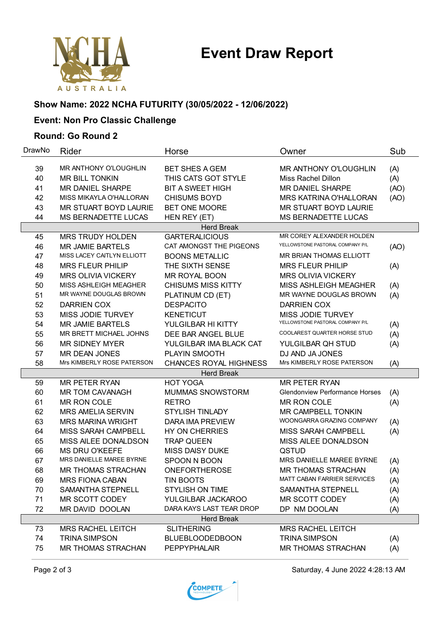# **Event Draw Report**



### **Show Name: 2022 NCHA FUTURITY (30/05/2022 - 12/06/2022)**

## **Event: Non Pro Classic Challenge**

#### **Round: Go Round 2**

| DrawNo            | Rider                        | Horse                         | Owner                                 | Sub  |  |  |  |  |
|-------------------|------------------------------|-------------------------------|---------------------------------------|------|--|--|--|--|
| 39                | <b>MR ANTHONY O'LOUGHLIN</b> | <b>BET SHES A GEM</b>         | MR ANTHONY O'LOUGHLIN                 | (A)  |  |  |  |  |
| 40                | <b>MR BILL TONKIN</b>        | THIS CATS GOT STYLE           | Miss Rachel Dillon                    | (A)  |  |  |  |  |
| 41                | <b>MR DANIEL SHARPE</b>      | <b>BIT A SWEET HIGH</b>       | <b>MR DANIEL SHARPE</b>               | (AO) |  |  |  |  |
| 42                | MISS MIKAYLA O'HALLORAN      | <b>CHISUMS BOYD</b>           | <b>MRS KATRINA O'HALLORAN</b>         | (AO) |  |  |  |  |
| 43                | MR STUART BOYD LAURIE        | BET ONE MOORE                 | MR STUART BOYD LAURIE                 |      |  |  |  |  |
| 44                | MS BERNADETTE LUCAS          | HEN REY (ET)                  | MS BERNADETTE LUCAS                   |      |  |  |  |  |
|                   | <b>Herd Break</b>            |                               |                                       |      |  |  |  |  |
| 45                | <b>MRS TRUDY HOLDEN</b>      | <b>GARTERALICIOUS</b>         | MR COREY ALEXANDER HOLDEN             |      |  |  |  |  |
| 46                | <b>MR JAMIE BARTELS</b>      | CAT AMONGST THE PIGEONS       | YELLOWSTONE PASTORAL COMPANY P/L      | (AO) |  |  |  |  |
| 47                | MISS LACEY CAITLYN ELLIOTT   | <b>BOONS METALLIC</b>         | MR BRIAN THOMAS ELLIOTT               |      |  |  |  |  |
| 48                | <b>MRS FLEUR PHILIP</b>      | THE SIXTH SENSE               | <b>MRS FLEUR PHILIP</b>               | (A)  |  |  |  |  |
| 49                | <b>MRS OLIVIA VICKERY</b>    | MR ROYAL BOON                 | <b>MRS OLIVIA VICKERY</b>             |      |  |  |  |  |
| 50                | MISS ASHLEIGH MEAGHER        | <b>CHISUMS MISS KITTY</b>     | MISS ASHLEIGH MEAGHER                 | (A)  |  |  |  |  |
| 51                | MR WAYNE DOUGLAS BROWN       | PLATINUM CD (ET)              | MR WAYNE DOUGLAS BROWN                | (A)  |  |  |  |  |
| 52                | <b>DARRIEN COX</b>           | <b>DESPACITO</b>              | DARRIEN COX                           |      |  |  |  |  |
| 53                | MISS JODIE TURVEY            | <b>KENETICUT</b>              | <b>MISS JODIE TURVEY</b>              |      |  |  |  |  |
| 54                | <b>MR JAMIE BARTELS</b>      | YULGILBAR HI KITTY            | YELLOWSTONE PASTORAL COMPANY P/L      | (A)  |  |  |  |  |
| 55                | MR BRETT MICHAEL JOHNS       | DEE BAR ANGEL BLUE            | COOLAREST QUARTER HORSE STUD          | (A)  |  |  |  |  |
| 56                | <b>MR SIDNEY MYER</b>        | YULGILBAR IMA BLACK CAT       | YULGILBAR QH STUD                     | (A)  |  |  |  |  |
| 57                | MR DEAN JONES                | PLAYIN SMOOTH                 | DJ AND JA JONES                       |      |  |  |  |  |
| 58                | Mrs KIMBERLY ROSE PATERSON   | <b>CHANCES ROYAL HIGHNESS</b> | Mrs KIMBERLY ROSE PATERSON            | (A)  |  |  |  |  |
|                   |                              | <b>Herd Break</b>             |                                       |      |  |  |  |  |
| 59                | <b>MR PETER RYAN</b>         | <b>HOT YOGA</b>               | <b>MR PETER RYAN</b>                  |      |  |  |  |  |
| 60                | <b>MR TOM CAVANAGH</b>       | <b>MUMMAS SNOWSTORM</b>       | <b>Glendonview Performance Horses</b> | (A)  |  |  |  |  |
| 61                | MR RON COLE                  | <b>RETRO</b>                  | MR RON COLE                           | (A)  |  |  |  |  |
| 62                | <b>MRS AMELIA SERVIN</b>     | <b>STYLISH TINLADY</b>        | <b>MR CAMPBELL TONKIN</b>             |      |  |  |  |  |
| 63                | <b>MRS MARINA WRIGHT</b>     | <b>DARA IMA PREVIEW</b>       | WOONGARRA GRAZING COMPANY             | (A)  |  |  |  |  |
| 64                | MISS SARAH CAMPBELL          | HY ON CHERRIES                | MISS SARAH CAMPBELL                   | (A)  |  |  |  |  |
| 65                | MISS AILEE DONALDSON         | <b>TRAP QUEEN</b>             | MISS AILEE DONALDSON                  |      |  |  |  |  |
| 66                | <b>MS DRU O'KEEFE</b>        | <b>MISS DAISY DUKE</b>        | QSTUD                                 |      |  |  |  |  |
| 67                | MRS DANIELLE MAREE BYRNE     | SPOON N BOON                  | MRS DANIELLE MAREE BYRNE              | (A)  |  |  |  |  |
| 68                | <b>MR THOMAS STRACHAN</b>    | <b>ONEFORTHEROSE</b>          | <b>MR THOMAS STRACHAN</b>             | (A)  |  |  |  |  |
| 69                | <b>MRS FIONA CABAN</b>       | TIN BOOTS                     | MATT CABAN FARRIER SERVICES           | (A)  |  |  |  |  |
| 70                | SAMANTHA STEPNELL            | <b>STYLISH ON TIME</b>        | SAMANTHA STEPNELL                     | (A)  |  |  |  |  |
| 71                | MR SCOTT CODEY               | YULGILBAR JACKAROO            | MR SCOTT CODEY                        | (A)  |  |  |  |  |
| 72                | MR DAVID DOOLAN              | DARA KAYS LAST TEAR DROP      | DP NM DOOLAN                          | (A)  |  |  |  |  |
| <b>Herd Break</b> |                              |                               |                                       |      |  |  |  |  |
| 73                | <b>MRS RACHEL LEITCH</b>     | <b>SLITHERING</b>             | <b>MRS RACHEL LEITCH</b>              |      |  |  |  |  |
| 74                | <b>TRINA SIMPSON</b>         | <b>BLUEBLOODEDBOON</b>        | <b>TRINA SIMPSON</b>                  | (A)  |  |  |  |  |
| 75                | <b>MR THOMAS STRACHAN</b>    | <b>PEPPYPHALAIR</b>           | <b>MR THOMAS STRACHAN</b>             | (A)  |  |  |  |  |